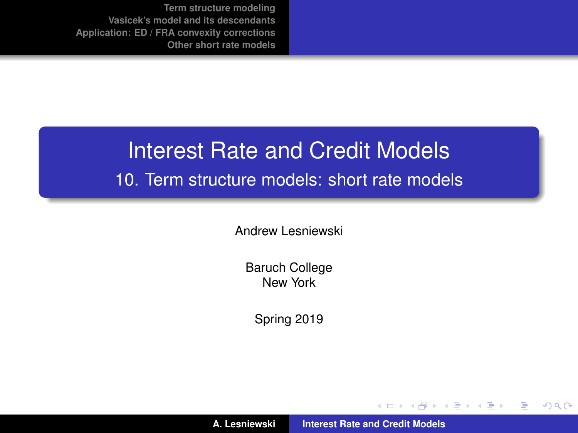# Interest Rate and Credit Models

#### 10. Term structure models: short rate models

Andrew Lesniewski

Baruch College New York

Spring 2019

(ロトス個) (運) (運)

 $299$ 

<span id="page-0-0"></span>重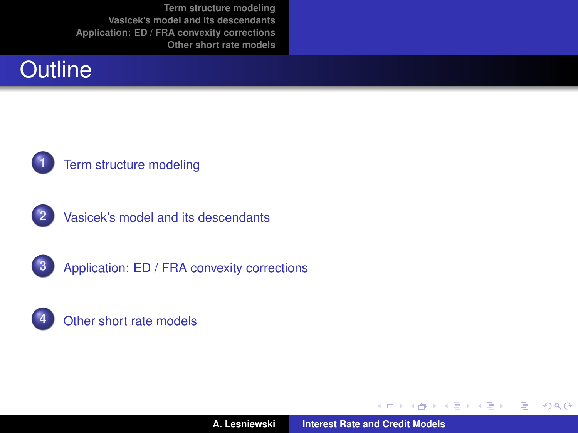# **Outline**



#### **1** [Term structure modeling](#page-2-0)



**2** [Vasicek's model and its descendants](#page-6-0)





**A. Lesniewski [Interest Rate and Credit Models](#page-0-0)**

(ロトス個) (運) (運)

 $2Q$ 

重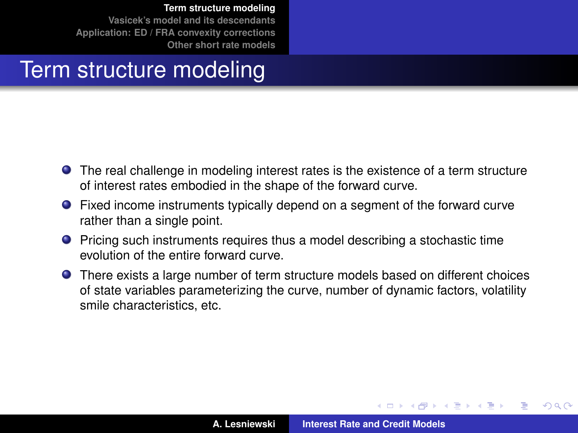# Term structure modeling

- The real challenge in modeling interest rates is the existence of a term structure of interest rates embodied in the shape of the forward curve.
- Fixed income instruments typically depend on a segment of the forward curve rather than a single point.
- **•** Pricing such instruments requires thus a model describing a stochastic time evolution of the entire forward curve.
- There exists a large number of term structure models based on different choices of state variables parameterizing the curve, number of dynamic factors, volatility smile characteristics, etc.

<span id="page-2-0"></span> $\left\{ \begin{array}{ccc} 1 & 0 & 0 \\ 0 & 1 & 0 \end{array} \right.$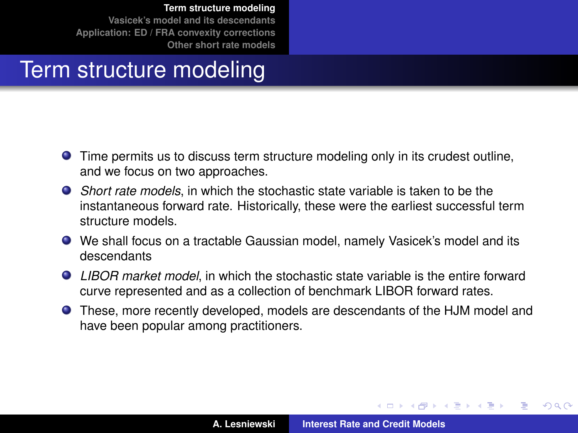# Term structure modeling

- Time permits us to discuss term structure modeling only in its crudest outline, and we focus on two approaches.
- *Short rate models*, in which the stochastic state variable is taken to be the instantaneous forward rate. Historically, these were the earliest successful term structure models.
- We shall focus on a tractable Gaussian model, namely Vasicek's model and its descendants
- *LIBOR market model*, in which the stochastic state variable is the entire forward curve represented and as a collection of benchmark LIBOR forward rates.
- These, more recently developed, models are descendants of the HJM model and have been popular among practitioners.

 $\left\{ \begin{array}{ccc} 1 & 0 & 0 \\ 0 & 1 & 0 \end{array} \right.$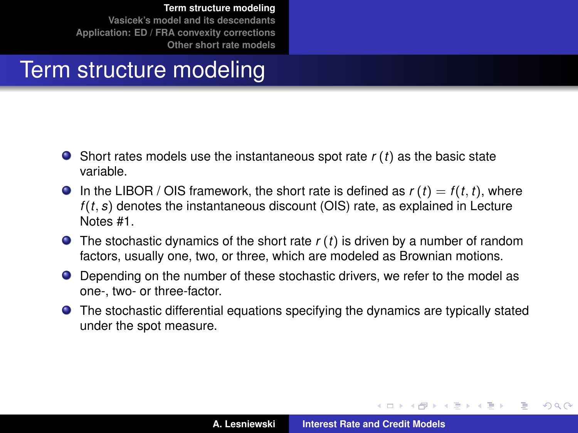# Term structure modeling

- Short rates models use the instantaneous spot rate *r* (*t*) as the basic state variable.
- $\bullet$  In the LIBOR / OIS framework, the short rate is defined as  $r(t) = f(t, t)$ , where *f* (*t*, *s*) denotes the instantaneous discount (OIS) rate, as explained in Lecture Notes #1.
- The stochastic dynamics of the short rate *r* (*t*) is driven by a number of random factors, usually one, two, or three, which are modeled as Brownian motions.
- Depending on the number of these stochastic drivers, we refer to the model as one-, two- or three-factor.
- The stochastic differential equations specifying the dynamics are typically stated under the spot measure.

イロメ イ部メ イヨメ イヨメー

Þ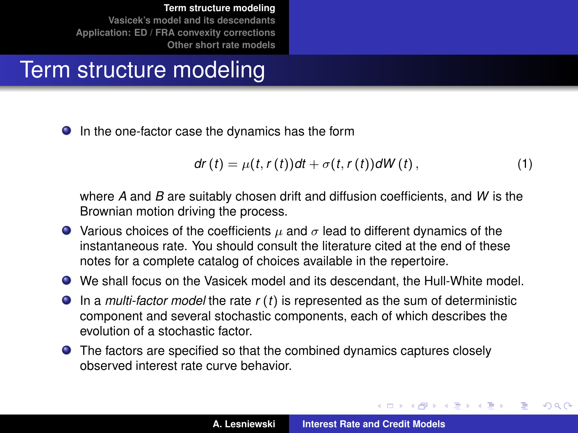# Term structure modeling

● In the one-factor case the dynamics has the form

<span id="page-5-0"></span>
$$
dr(t) = \mu(t, r(t))dt + \sigma(t, r(t))dW(t), \qquad (1)
$$

where *A* and *B* are suitably chosen drift and diffusion coefficients, and *W* is the Brownian motion driving the process.

- $\bullet$  Various choices of the coefficients  $\mu$  and  $\sigma$  lead to different dynamics of the instantaneous rate. You should consult the literature cited at the end of these notes for a complete catalog of choices available in the repertoire.
- We shall focus on the Vasicek model and its descendant, the Hull-White model.
- In a *multi-factor model* the rate *r* (*t*) is represented as the sum of deterministic component and several stochastic components, each of which describes the evolution of a stochastic factor.
- The factors are specified so that the combined dynamics captures closely observed interest rate curve behavior.

 $\left\{ \begin{array}{ccc} 1 & 0 & 0 \\ 0 & 1 & 0 \end{array} \right.$ 

Þ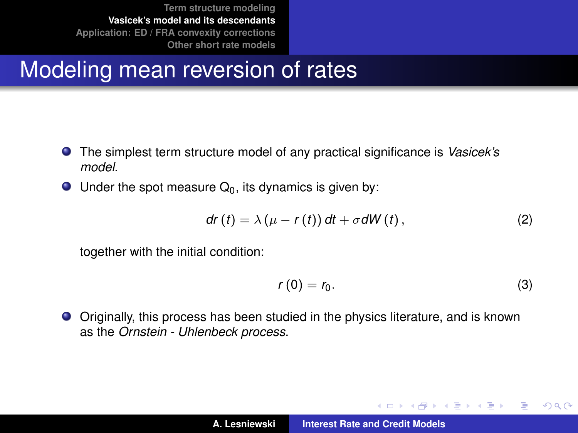# Modeling mean reversion of rates

- The simplest term structure model of any practical significance is *Vasicek's model*.
- $\bullet$  Under the spot measure  $Q_0$ , its dynamics is given by:

$$
dr(t) = \lambda (\mu - r(t)) dt + \sigma dW(t), \qquad (2)
$$

together with the initial condition:

<span id="page-6-1"></span>
$$
r(0)=r_0.\t\t(3)
$$

イロメ イ部メ イヨメ イヨメー

 $QQQ$ 

<span id="page-6-0"></span>重

Originally, this process has been studied in the physics literature, and is known as the *Ornstein - Uhlenbeck process*.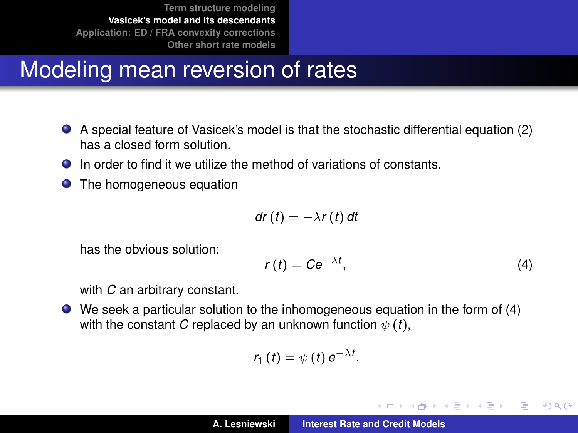# Modeling mean reversion of rates

- A special feature of Vasicek's model is that the stochastic differential equation [\(2\)](#page-6-1) has a closed form solution.
- In order to find it we utilize the method of variations of constants.
- $\bullet$ The homogeneous equation

$$
dr(t) = -\lambda r(t) dt
$$

has the obvious solution:

<span id="page-7-0"></span>
$$
r(t) = Ce^{-\lambda t}, \tag{4}
$$

イロメ イ部メ イヨメ イヨメー

重

 $QQQ$ 

with *C* an arbitrary constant.

We seek a particular solution to the inhomogeneous equation in the form of [\(4\)](#page-7-0) with the constant *C* replaced by an unknown function  $\psi(t)$ ,

$$
r_1(t)=\psi(t) e^{-\lambda t}.
$$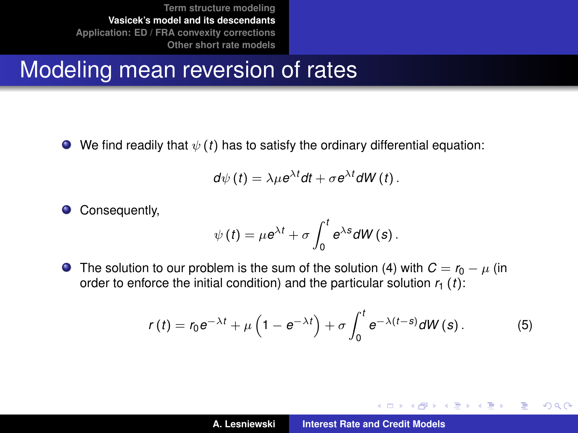# Modeling mean reversion of rates

 $\bullet$  We find readily that  $\psi(t)$  has to satisfy the ordinary differential equation:

$$
d\psi(t) = \lambda \mu e^{\lambda t} dt + \sigma e^{\lambda t} dW(t).
$$

 $\bullet$ Consequently,

$$
\psi(t) = \mu e^{\lambda t} + \sigma \int_0^t e^{\lambda s} dW(s).
$$

**O** The solution to our problem is the sum of the solution [\(4\)](#page-7-0) with  $C = r_0 - \mu$  (in order to enforce the initial condition) and the particular solution  $r_1$  (*t*):

$$
r(t) = r_0 e^{-\lambda t} + \mu \left(1 - e^{-\lambda t}\right) + \sigma \int_0^t e^{-\lambda (t-s)} dW(s).
$$
 (5)

イロメ イ部メ イ君メ イ君メー

重  $2Q$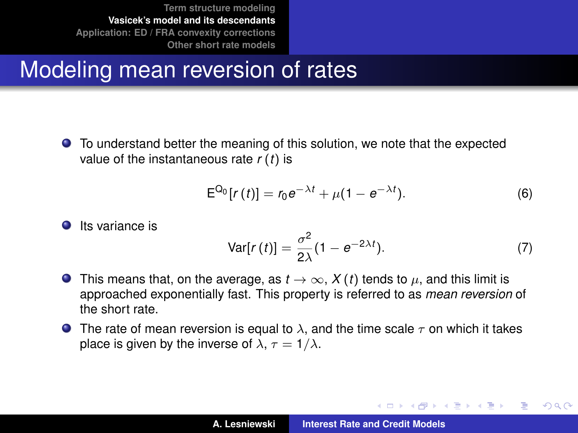# Modeling mean reversion of rates

To understand better the meaning of this solution, we note that the expected value of the instantaneous rate *r* (*t*) is

$$
E^{Q_0}[r(t)] = r_0 e^{-\lambda t} + \mu(1 - e^{-\lambda t}).
$$
 (6)

イロメ イ部メ イ君メ イ君メー

Þ

• Its variance is  

$$
Var[r(t)] = \frac{\sigma^2}{2\lambda}(1 - e^{-2\lambda t}).
$$
 (7)

- **O** This means that, on the average, as  $t \to \infty$ ,  $X(t)$  tends to  $\mu$ , and this limit is approached exponentially fast. This property is referred to as *mean reversion* of the short rate.
- **The rate of mean reversion is equal to**  $\lambda$ **, and the time scale**  $\tau$  **on which it takes** place is given by the inverse of  $\lambda$ ,  $\tau = 1/\lambda$ .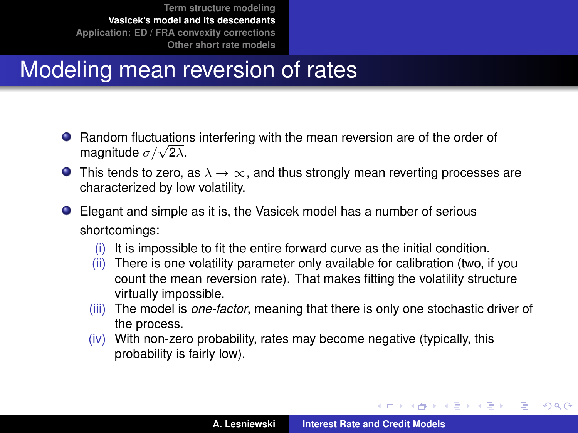# Modeling mean reversion of rates

- **•** Random fluctuations interfering with the mean reversion are of the order of Haridom nucluation<br>magnitude  $\sigma/\sqrt{2\lambda}$ .
- **O** This tends to zero, as  $\lambda \to \infty$ , and thus strongly mean reverting processes are characterized by low volatility.
- Elegant and simple as it is, the Vasicek model has a number of serious shortcomings:
	- (i) It is impossible to fit the entire forward curve as the initial condition.
	- (ii) There is one volatility parameter only available for calibration (two, if you count the mean reversion rate). That makes fitting the volatility structure virtually impossible.
	- (iii) The model is *one-factor*, meaning that there is only one stochastic driver of the process.
	- (iv) With non-zero probability, rates may become negative (typically, this probability is fairly low).

イロメ イ部メ イヨメ イヨメー

 $QQ$ 

Þ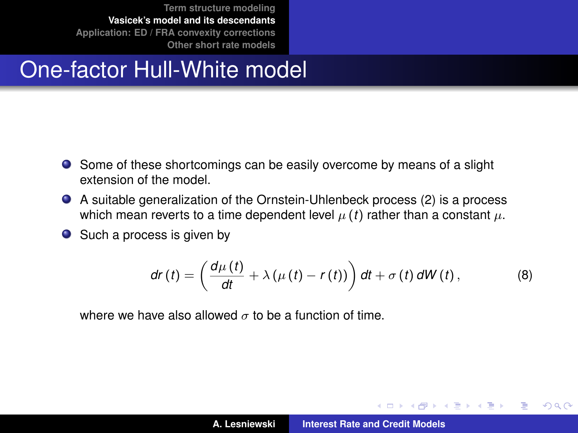# One-factor Hull-White model

- Some of these shortcomings can be easily overcome by means of a slight extension of the model.
- A suitable generalization of the Ornstein-Uhlenbeck process [\(2\)](#page-6-1) is a process which mean reverts to a time dependent level  $\mu(t)$  rather than a constant  $\mu$ .
- Such a process is given by

$$
dr(t) = \left(\frac{d\mu(t)}{dt} + \lambda\left(\mu(t) - r(t)\right)\right)dt + \sigma(t) dW(t), \qquad (8)
$$

where we have also allowed  $\sigma$  to be a function of time.

イロメ イ部メ イヨメ イヨメー

 $QQ$ 

<span id="page-11-0"></span>Þ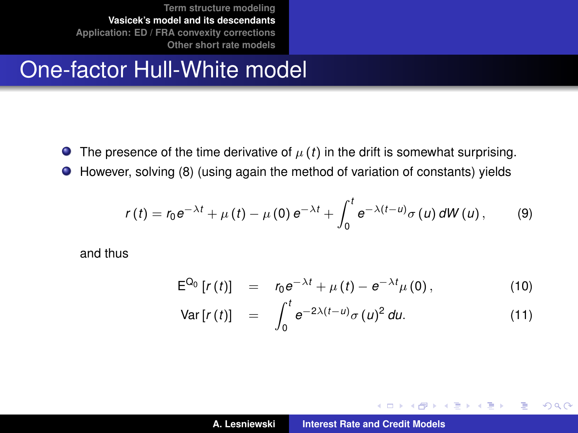# One-factor Hull-White model

- **The presence of the time derivative of**  $\mu(t)$  **in the drift is somewhat surprising.**
- However, solving [\(8\)](#page-11-0) (using again the method of variation of constants) yields

$$
r(t) = r_0 e^{-\lambda t} + \mu(t) - \mu(0) e^{-\lambda t} + \int_0^t e^{-\lambda(t-u)} \sigma(u) dW(u), \qquad (9)
$$

and thus

$$
E^{Q_0}[r(t)] = r_0 e^{-\lambda t} + \mu(t) - e^{-\lambda t} \mu(0), \qquad (10)
$$

$$
\text{Var}\left[r\left(t\right)\right] = \int_0^t e^{-2\lambda(t-u)} \sigma\left(u\right)^2 du. \tag{11}
$$

イロト イ部 トイミト イヨト

 $299$ 

<span id="page-12-0"></span>重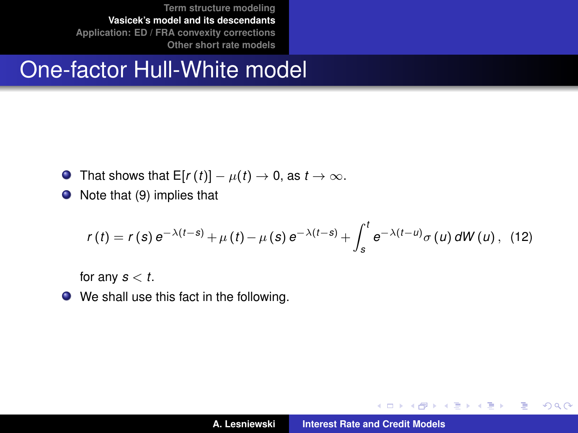# One-factor Hull-White model

- $\bullet$  That shows that  $E[r(t)] \mu(t) \rightarrow 0$ , as  $t \rightarrow \infty$ .
- $\bullet$  Note that [\(9\)](#page-12-0) implies that

$$
r(t) = r(s) e^{-\lambda(t-s)} + \mu(t) - \mu(s) e^{-\lambda(t-s)} + \int_s^t e^{-\lambda(t-u)} \sigma(u) dW(u), \quad (12)
$$

for any  $s < t$ .

We shall use this fact in the following.

イロメ イ部メ イヨメ イヨメー

 $299$ 

<span id="page-13-0"></span>重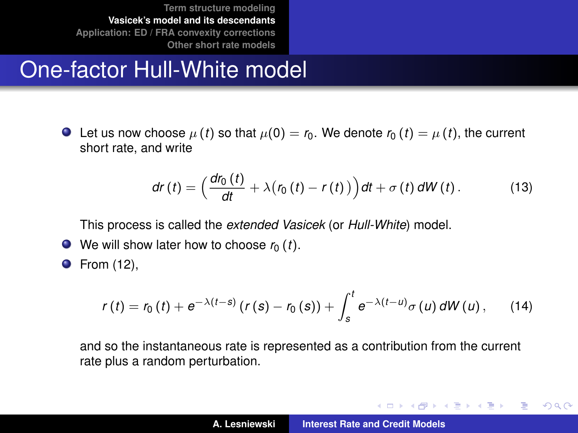# One-factor Hull-White model

 $\bullet$  Let us now choose  $\mu(t)$  so that  $\mu(0) = r_0$ . We denote  $r_0(t) = \mu(t)$ , the current short rate, and write

$$
dr(t) = \left(\frac{dr_0(t)}{dt} + \lambda (r_0(t) - r(t))\right) dt + \sigma(t) dW(t).
$$
 (13)

This process is called the *extended Vasicek* (or *Hull-White*) model.

 $\bullet$  We will show later how to choose  $r_0(t)$ .

**•** From [\(12\)](#page-13-0),

$$
r(t) = r_0(t) + e^{-\lambda(t-s)} (r(s) - r_0(s)) + \int_s^t e^{-\lambda(t-u)} \sigma(u) dW(u), \qquad (14)
$$

and so the instantaneous rate is represented as a contribution from the current rate plus a random perturbation.

イロメ イ団メ イヨメ イヨメー

<span id="page-14-0"></span>重

 $298$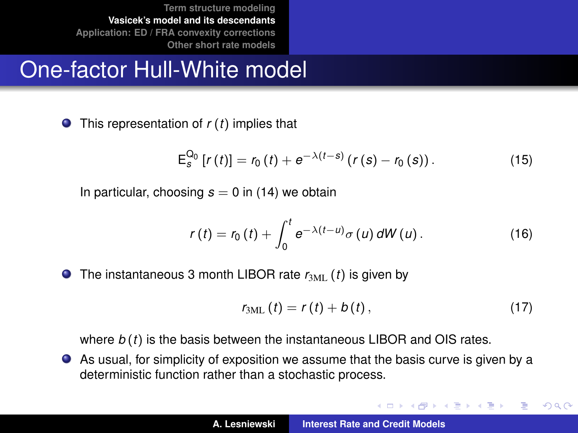# One-factor Hull-White model

This representation of *r* (*t*) implies that

$$
\mathsf{E}_s^{\mathsf{Q}_0}\left[r\left(t\right)\right] = r_0\left(t\right) + e^{-\lambda\left(t-s\right)}\left(r\left(s\right) - r_0\left(s\right)\right). \tag{15}
$$

In particular, choosing  $s = 0$  in [\(14\)](#page-14-0) we obtain

$$
r(t) = r_0(t) + \int_0^t e^{-\lambda(t-u)} \sigma(u) dW(u).
$$
 (16)

 $\bullet$  The instantaneous 3 month LIBOR rate  $r_{3ML}$  (*t*) is given by

$$
r_{3ML}(t)=r(t)+b(t), \qquad (17)
$$

イロメ イ団メ イヨメ イヨメー

重  $2Q$ 

where *b* (*t*) is the basis between the instantaneous LIBOR and OIS rates.

As usual, for simplicity of exposition we assume that the basis curve is given by a deterministic function rather than a stochastic process.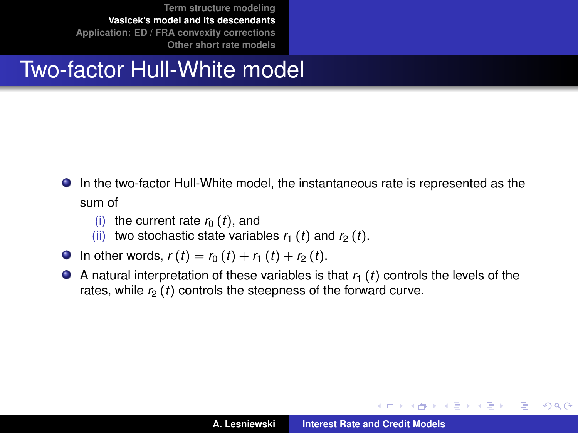# Two-factor Hull-White model

- In the two-factor Hull-White model, the instantaneous rate is represented as the sum of
	- (i) the current rate  $r_0(t)$ , and
	- (ii) two stochastic state variables  $r_1$  (*t*) and  $r_2$  (*t*).
- **O** In other words,  $r(t) = r_0(t) + r_1(t) + r_2(t)$ .
- $\bullet$  A natural interpretation of these variables is that  $r_1$  (*t*) controls the levels of the rates, while  $r<sub>2</sub>(t)$  controls the steepness of the forward curve.

イロメ イ部メ イヨメ イヨメー

Þ

 $298$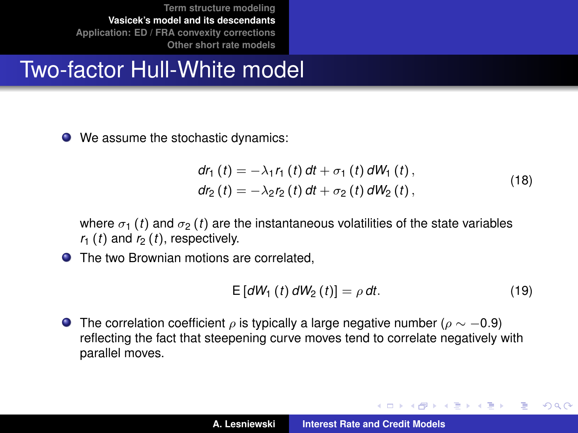# Two-factor Hull-White model

● We assume the stochastic dynamics:

$$
dr_{1} (t) = -\lambda_{1} r_{1} (t) dt + \sigma_{1} (t) dW_{1} (t),
$$
  
\n
$$
dr_{2} (t) = -\lambda_{2} r_{2} (t) dt + \sigma_{2} (t) dW_{2} (t),
$$
\n(18)

where  $\sigma_1$  (*t*) and  $\sigma_2$  (*t*) are the instantaneous volatilities of the state variables  $r_1$  (*t*) and  $r_2$  (*t*), respectively.

● The two Brownian motions are correlated.

$$
E\left[dW_1\left(t\right)dW_2\left(t\right)\right] = \rho \, dt. \tag{19}
$$

イロメ イ部メ イ君メ イ君メー

 $299$ 

Þ

**The correlation coefficient**  $\rho$  is typically a large negative number ( $\rho \sim -0.9$ ) reflecting the fact that steepening curve moves tend to correlate negatively with parallel moves.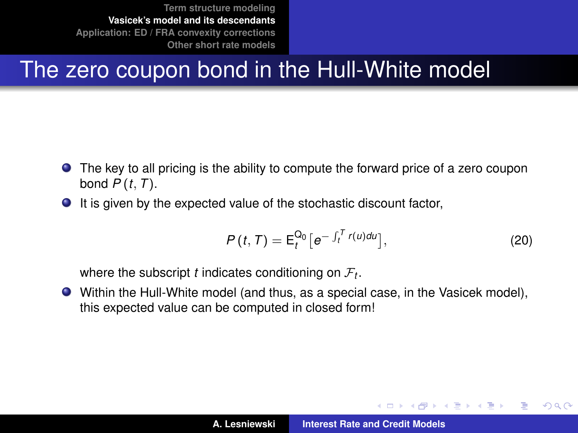# The zero coupon bond in the Hull-White model

- The key to all pricing is the ability to compute the forward price of a zero coupon bond *P* (*t*, *T*).
- $\bullet$  It is given by the expected value of the stochastic discount factor,

$$
P(t, T) = \mathsf{E}_{t}^{\mathsf{Q}_{0}} \big[ e^{-\int_{t}^{T} r(u) du} \big], \tag{20}
$$

イロメ イ部メ イヨメ イヨメー

 $QQ$ 

where the subscript  $t$  indicates conditioning on  $\mathcal{F}_t.$ 

Within the Hull-White model (and thus, as a special case, in the Vasicek model), this expected value can be computed in closed form!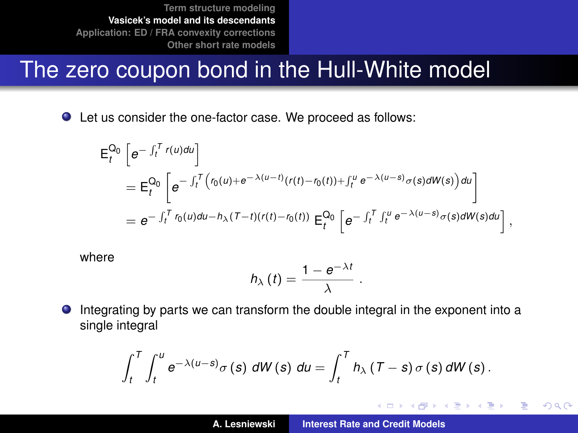### The zero coupon bond in the Hull-White model

Let us consider the one-factor case. We proceed as follows:

$$
\begin{split} \mathsf{E}_{t}^{\mathsf{Q}_{0}}\left[e^{-\int_{t}^{T}r(u)du}\right] \\ &= \mathsf{E}_{t}^{\mathsf{Q}_{0}}\left[e^{-\int_{t}^{T}\left(r_{0}(u)+e^{-\lambda(u-t)}(r(t)-r_{0}(t))+\int_{t}^{u}e^{-\lambda(u-s)}\sigma(s)dW(s)\right)du}\right] \\ &= e^{-\int_{t}^{T}r_{0}(u)du-h_{\lambda}(T-t)(r(t)-r_{0}(t))}\mathsf{E}_{t}^{\mathsf{Q}_{0}}\left[e^{-\int_{t}^{T}\int_{t}^{u}e^{-\lambda(u-s)}\sigma(s)dW(s)du}\right], \end{split}
$$

where

$$
h_{\lambda}(t)=\frac{1-e^{-\lambda t}}{\lambda}
$$

.

イロメ イ団メ イヨメ イヨメー

 $2Q$ 重

Integrating by parts we can transform the double integral in the exponent into a  $\bullet$ single integral

$$
\int_{t}^{T} \int_{t}^{u} e^{-\lambda(u-s)} \sigma(s) dW(s) du = \int_{t}^{T} h_{\lambda}(T-s) \sigma(s) dW(s).
$$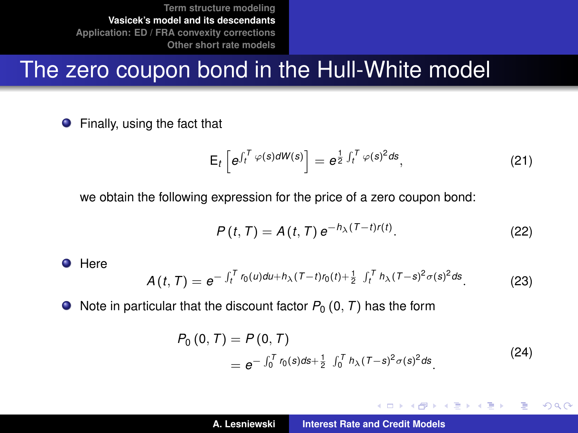# The zero coupon bond in the Hull-White model

**•** Finally, using the fact that

$$
\mathsf{E}_{t}\left[e^{\int_{t}^{T}\varphi(s)d\mathsf{W}(s)}\right]=e^{\frac{1}{2}\int_{t}^{T}\varphi(s)^{2}ds},\tag{21}
$$

we obtain the following expression for the price of a zero coupon bond:

$$
P(t,T) = A(t,T) e^{-h_{\lambda}(T-t)r(t)}.
$$
\n(22)

**O** Here

$$
A(t,T) = e^{-\int_t^T r_0(u)du + h_\lambda (T-t)r_0(t) + \frac{1}{2}\int_t^T h_\lambda (T-s)^2 \sigma(s)^2 ds}.
$$
 (23)

 $\bullet$  Note in particular that the discount factor  $P_0$  (0, *T*) has the form

$$
P_0(0, T) = P(0, T)
$$
  
=  $e^{-\int_0^T r_0(s)ds + \frac{1}{2} \int_0^T h_\lambda (T - s)^2 \sigma(s)^2 ds}$ . (24)

<span id="page-20-1"></span><span id="page-20-0"></span>イロメ イ団メ イヨメ イヨメー

 $299$ 

重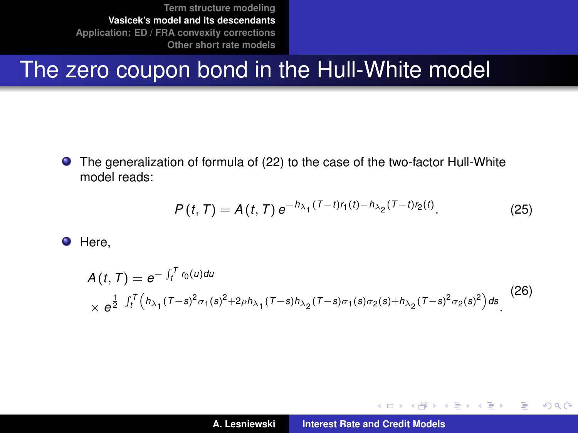# The zero coupon bond in the Hull-White model

 $\bullet$ The generalization of formula of [\(22\)](#page-20-0) to the case of the two-factor Hull-White model reads:

$$
P(t, T) = A(t, T) e^{-h_{\lambda_1}(T - t)r_1(t) - h_{\lambda_2}(T - t)r_2(t)}.
$$
 (25)

**O** Here,

$$
A(t, T) = e^{-\int_t^T r_0(u) du}
$$
  
 
$$
\times e^{\frac{1}{2} \int_t^T (h_{\lambda_1}(T-s)^2 \sigma_1(s)^2 + 2\rho h_{\lambda_1}(T-s)h_{\lambda_2}(T-s)\sigma_1(s)\sigma_2(s) + h_{\lambda_2}(T-s)^2 \sigma_2(s)^2) ds}.
$$
 (26)

イロメ イ部メ イヨメ イヨメー

 $299$ 

重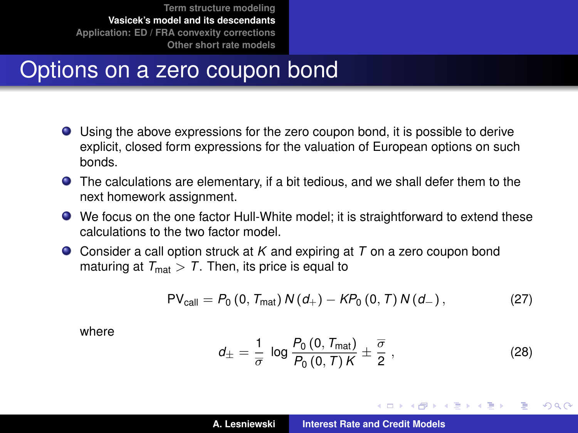### Options on a zero coupon bond

- Using the above expressions for the zero coupon bond, it is possible to derive explicit, closed form expressions for the valuation of European options on such bonds.
- The calculations are elementary, if a bit tedious, and we shall defer them to the next homework assignment.
- We focus on the one factor Hull-White model; it is straightforward to extend these calculations to the two factor model.
- Consider a call option struck at *K* and expiring at *T* on a zero coupon bond maturing at  $T_{\text{mat}} > T$ . Then, its price is equal to

$$
PV_{\text{call}} = P_0 (0, T_{\text{mat}}) N(d_+) - KP_0 (0, T) N(d_-), \qquad (27)
$$

where

$$
d_{\pm} = \frac{1}{\sigma} \log \frac{P_0(0, T_{\text{mat}})}{P_0(0, T)K} \pm \frac{\overline{\sigma}}{2},
$$
 (28)

イロメ イ部メ イヨメ イヨメー

 $QQQ$ Þ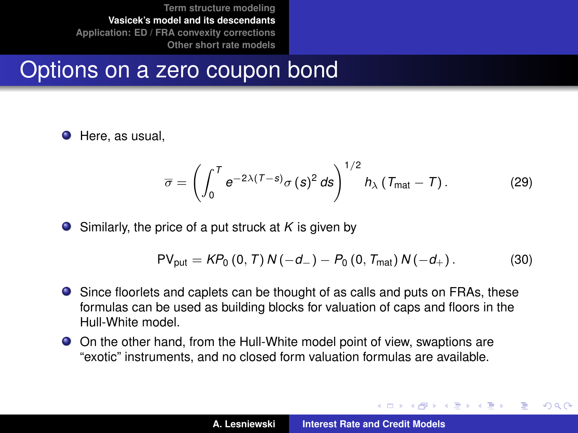#### Options on a zero coupon bond

**O** Here, as usual,

$$
\overline{\sigma} = \left( \int_0^T e^{-2\lambda (T-s)} \sigma(s)^2 ds \right)^{1/2} h_{\lambda} \left( T_{\text{mat}} - T \right). \tag{29}
$$

 $\bullet$  Similarly, the price of a put struck at *K* is given by

$$
PV_{\text{put}} = KP_0 (0, T) N(-d_-) - P_0 (0, T_{\text{mat}}) N(-d_+).
$$
 (30)

- Since floorlets and caplets can be thought of as calls and puts on FRAs, these formulas can be used as building blocks for valuation of caps and floors in the Hull-White model.
- On the other hand, from the Hull-White model point of view, swaptions are "exotic" instruments, and no closed form valuation formulas are available.

 $\left\{ \begin{array}{ccc} 1 & 0 & 0 \\ 0 & 1 & 0 \end{array} \right.$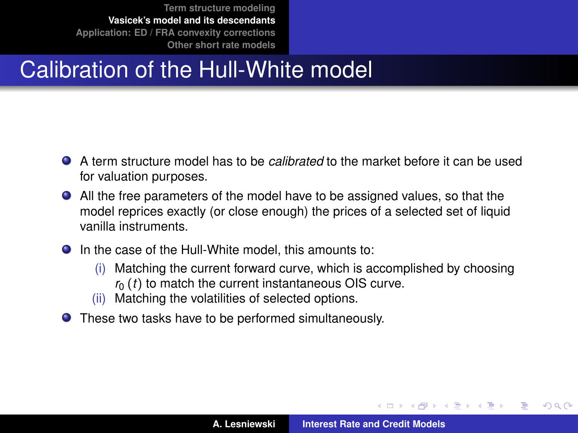# Calibration of the Hull-White model

- A term structure model has to be *calibrated* to the market before it can be used for valuation purposes.
- All the free parameters of the model have to be assigned values, so that the model reprices exactly (or close enough) the prices of a selected set of liquid vanilla instruments.
- In the case of the Hull-White model, this amounts to:
	- (i) Matching the current forward curve, which is accomplished by choosing  $r<sub>0</sub>(t)$  to match the current instantaneous OIS curve.
	- (ii) Matching the volatilities of selected options.
- These two tasks have to be performed simultaneously.

 $\left\{ \begin{array}{ccc} 1 & 0 & 0 \\ 0 & 1 & 0 \end{array} \right.$ 

 $QQ$ 

Ξ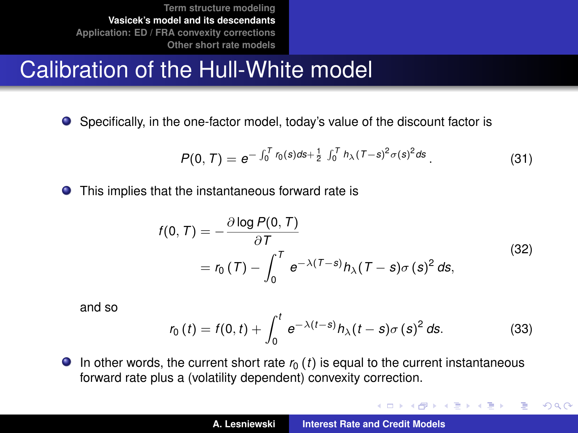# Calibration of the Hull-White model

Specifically, in the one-factor model, today's value of the discount factor is

$$
P(0,T) = e^{-\int_0^T r_0(s)ds + \frac{1}{2}\int_0^T h_\lambda(T-s)^2 \sigma(s)^2 ds}.
$$
 (31)

This implies that the instantaneous forward rate is

$$
f(0, T) = -\frac{\partial \log P(0, T)}{\partial T}
$$
  
=  $r_0(T) - \int_0^T e^{-\lambda(T - s)} h_\lambda(T - s) \sigma(s)^2 ds,$  (32)

and so

$$
r_0(t) = f(0, t) + \int_0^t e^{-\lambda(t-s)} h_\lambda(t-s) \sigma(s)^2 ds.
$$
 (33)

イロメ イ部メ イヨメ イヨメー

 $299$ 

重

 $\bullet$  In other words, the current short rate  $r_0$  (*t*) is equal to the current instantaneous forward rate plus a (volatility dependent) convexity correction.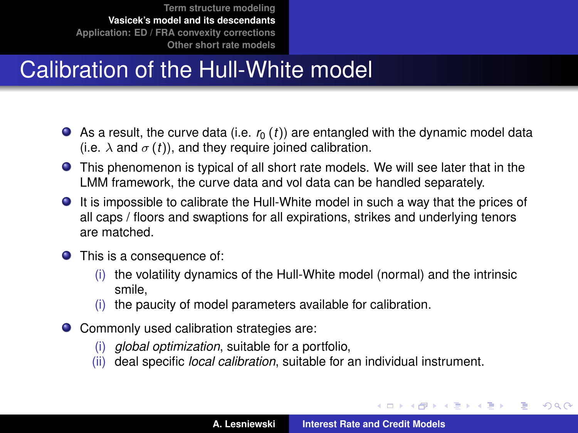# Calibration of the Hull-White model

- $\bullet$  As a result, the curve data (i.e.  $r_0$  (*t*)) are entangled with the dynamic model data (i.e.  $\lambda$  and  $\sigma$  (*t*)), and they require joined calibration.
- This phenomenon is typical of all short rate models. We will see later that in the LMM framework, the curve data and vol data can be handled separately.
- It is impossible to calibrate the Hull-White model in such a way that the prices of all caps / floors and swaptions for all expirations, strikes and underlying tenors are matched.
- **•** This is a consequence of:
	- (i) the volatility dynamics of the Hull-White model (normal) and the intrinsic smile,
	- (i) the paucity of model parameters available for calibration.
- Commonly used calibration strategies are:
	- (i) *global optimization*, suitable for a portfolio,
	- (ii) deal specific *local calibration*, suitable for an individual instrument.

イロメ イ部メ イヨメ イヨメー

 $QQ$ 

Þ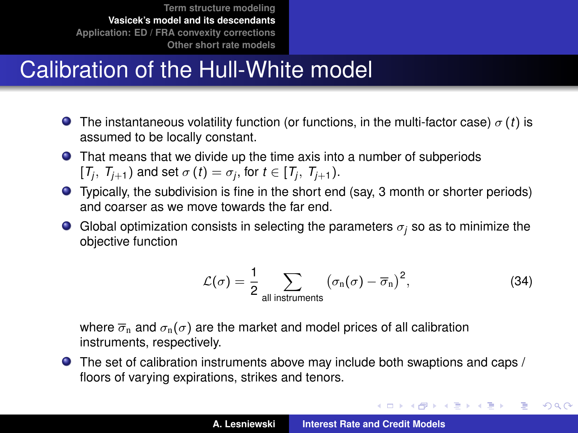# Calibration of the Hull-White model

- **The instantaneous volatility function (or functions, in the multi-factor case)**  $\sigma(t)$  is assumed to be locally constant.
- That means that we divide up the time axis into a number of subperiods  $[T_j, T_{j+1})$  and set  $\sigma(t) = \sigma_j$ , for  $t \in [T_j, T_{j+1})$ .
- Typically, the subdivision is fine in the short end (say, 3 month or shorter periods) and coarser as we move towards the far end.
- G Global optimization consists in selecting the parameters  $\sigma_i$  so as to minimize the objective function

$$
\mathcal{L}(\sigma) = \frac{1}{2} \sum_{\text{all instruments}} (\sigma_n(\sigma) - \overline{\sigma}_n)^2, \tag{34}
$$

K ロ ⊁ K 伊 ⊁ K 君 ⊁ K 君 ⊁ …

 $299$ 

重

where  $\overline{\sigma}_n$  and  $\sigma_n(\sigma)$  are the market and model prices of all calibration instruments, respectively.

The set of calibration instruments above may include both swaptions and caps / floors of varying expirations, strikes and tenors.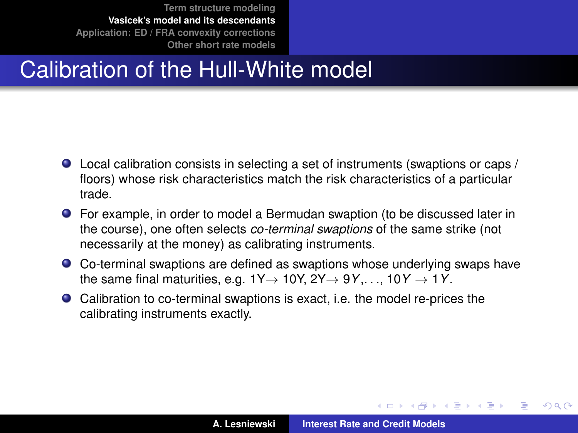# Calibration of the Hull-White model

- Local calibration consists in selecting a set of instruments (swaptions or caps / floors) whose risk characteristics match the risk characteristics of a particular trade.
- For example, in order to model a Bermudan swaption (to be discussed later in the course), one often selects *co-terminal swaptions* of the same strike (not necessarily at the money) as calibrating instruments.
- Co-terminal swaptions are defined as swaptions whose underlying swaps have the same final maturities, e.g.  $1Y \rightarrow 10Y$ ,  $2Y \rightarrow 9Y$ ,...,  $10Y \rightarrow 1Y$ .
- Calibration to co-terminal swaptions is exact, i.e. the model re-prices the calibrating instruments exactly.

イロメ イ部メ イヨメ イヨメー

Þ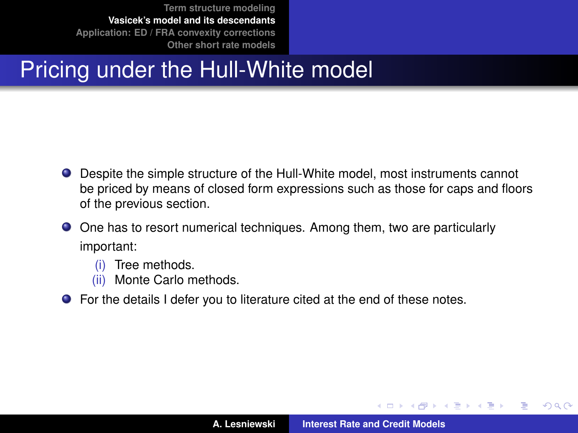# Pricing under the Hull-White model

- Despite the simple structure of the Hull-White model, most instruments cannot be priced by means of closed form expressions such as those for caps and floors of the previous section.
- One has to resort numerical techniques. Among them, two are particularly important:
	- (i) Tree methods.
	- (ii) Monte Carlo methods.
- For the details I defer you to literature cited at the end of these notes.

イロメ イ部メ イヨメ イヨメー

Þ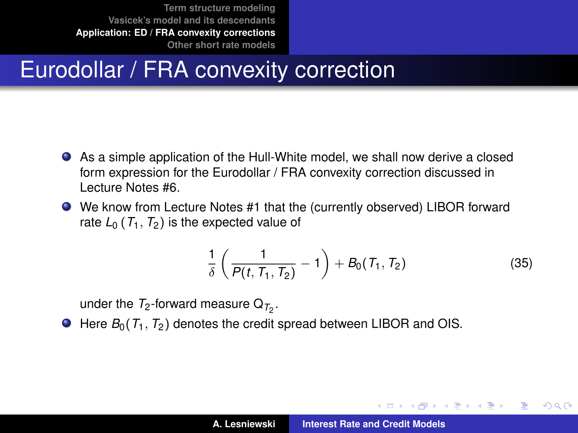# Eurodollar / FRA convexity correction

- As a simple application of the Hull-White model, we shall now derive a closed form expression for the Eurodollar / FRA convexity correction discussed in Lecture Notes #6.
- We know from Lecture Notes #1 that the (currently observed) LIBOR forward rate  $L_0$  ( $T_1$ ,  $T_2$ ) is the expected value of

$$
\frac{1}{\delta} \left( \frac{1}{P(t, T_1, T_2)} - 1 \right) + B_0(T_1, T_2) \tag{35}
$$

<span id="page-30-1"></span>イロメ イ部メ イ君メ イ君メー

<span id="page-30-0"></span>Þ

 $QQ$ 

under the  $T_2$ -forward measure  $\Omega_{T_2}$ .

 $\bullet$  Here  $B_0(T_1, T_2)$  denotes the credit spread between LIBOR and OIS.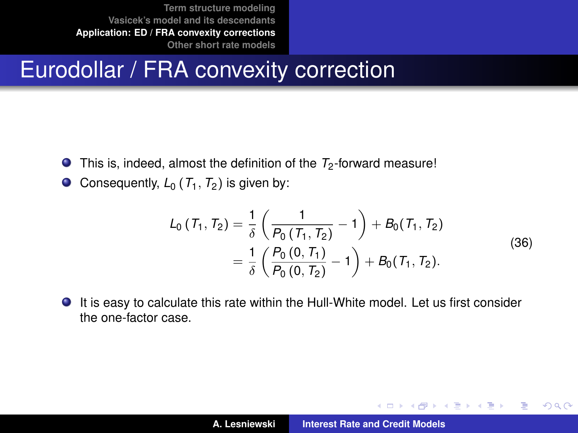# Eurodollar / FRA convexity correction

- This is, indeed, almost the definition of the  $T_2$ -forward measure!  $\bullet$
- Consequently,  $L_0$  ( $T_1$ ,  $T_2$ ) is given by:  $\bullet$

$$
L_0(T_1, T_2) = \frac{1}{\delta} \left( \frac{1}{P_0(T_1, T_2)} - 1 \right) + B_0(T_1, T_2)
$$
  
=  $\frac{1}{\delta} \left( \frac{P_0(0, T_1)}{P_0(0, T_2)} - 1 \right) + B_0(T_1, T_2).$  (36)

It is easy to calculate this rate within the Hull-White model. Let us first consider the one-factor case.

イロメ イ団メ イヨメ イヨメー

重

 $298$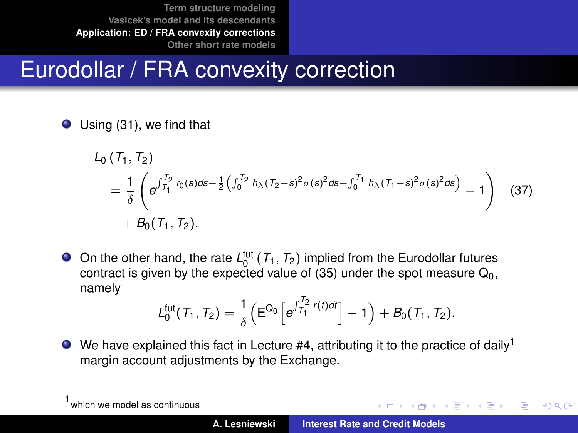# Eurodollar / FRA convexity correction

● Using [\(31\)](#page-20-1), we find that

$$
L_0(T_1, T_2)
$$
  
=  $\frac{1}{\delta} \left( e^{\int_{T_1}^{T_2} r_0(s)ds - \frac{1}{2} \left( \int_0^{T_2} h_\lambda (T_2 - s)^2 \sigma(s)^2 ds - \int_0^{T_1} h_\lambda (T_1 - s)^2 \sigma(s)^2 ds \right)} - 1 \right)$  (37)  
+  $B_0(T_1, T_2)$ .

On the other hand, the rate  $L_0^{\text{fut}}(\mathcal{T}_1, \mathcal{T}_2)$  implied from the Eurodollar futures contract is given by the expected value of [\(35\)](#page-30-1) under the spot measure  $Q_0$ . namely

$$
\mathcal{L}^{fut}_0(\mathcal{T}_1,\mathcal{T}_2) = \frac{1}{\delta} \Big( E^{Q_0} \Big[ e^{\int_{\mathcal{T}_1}^{\mathcal{T}_2} r(t) dt} \Big] - 1 \Big) + \mathcal{B}_0(\mathcal{T}_1,\mathcal{T}_2).
$$

 $\bullet$  We have explained this fact in Lecture #4, attributing it to the practice of daily<sup>1</sup> margin account adjustments by the Exchange.

イロメ イ部メ イ君メ イ君メー

 $QQQ$ 

<sup>1</sup> which we model as continuous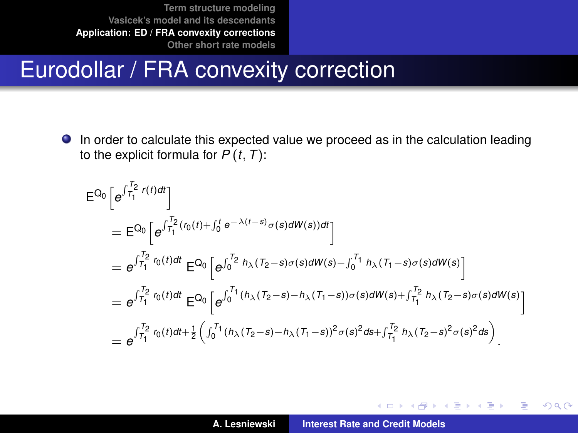### Eurodollar / FRA convexity correction

In order to calculate this expected value we proceed as in the calculation leading to the explicit formula for  $P(t, T)$ :

$$
E^{Q_0}\left[e^{\int_{T_1}^{T_2} r(t)dt}\right]
$$
\n
$$
= E^{Q_0}\left[e^{\int_{T_1}^{T_2} r_0(t)dt} E^{Q_0}\left[e^{\int_{0}^{T_2} h_{\lambda}(T_2 - s)\sigma(s)dW(s))dt}\right]\right]
$$
\n
$$
= e^{\int_{T_1}^{T_2} r_0(t)dt} E^{Q_0}\left[e^{\int_{0}^{T_2} h_{\lambda}(T_2 - s)\sigma(s)dW(s) - \int_{0}^{T_1} h_{\lambda}(T_1 - s)\sigma(s)dW(s)}\right]
$$
\n
$$
= e^{\int_{T_1}^{T_2} r_0(t)dt} E^{Q_0}\left[e^{\int_{0}^{T_1} (h_{\lambda}(T_2 - s) - h_{\lambda}(T_1 - s))\sigma(s)dW(s) + \int_{T_1}^{T_2} h_{\lambda}(T_2 - s)\sigma(s)dW(s)}\right]
$$
\n
$$
= e^{\int_{T_1}^{T_2} r_0(t)dt + \frac{1}{2}\left(\int_{0}^{T_1} (h_{\lambda}(T_2 - s) - h_{\lambda}(T_1 - s))^2 \sigma(s)^2ds + \int_{T_1}^{T_2} h_{\lambda}(T_2 - s)^2 \sigma(s)^2ds\right)}.
$$

イロメ イ部メ イヨメ イヨメー

 $299$ 

重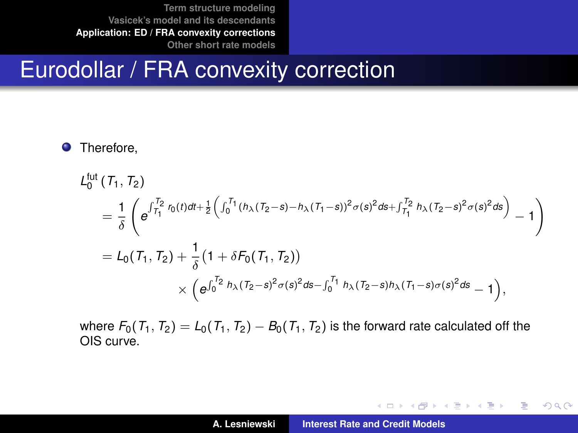# Eurodollar / FRA convexity correction

#### **O** Therefore,

$$
L_0^{\text{fut}}(T_1, T_2)
$$
  
=  $\frac{1}{\delta} \left( e^{\int_{T_1}^{T_2} r_0(t)dt + \frac{1}{2} \left( \int_0^{T_1} (h_\lambda (T_2 - s) - h_\lambda (T_1 - s))^2 \sigma(s)^2 ds + \int_{T_1}^{T_2} h_\lambda (T_2 - s)^2 \sigma(s)^2 ds \right)} - 1 \right)$   
=  $L_0(T_1, T_2) + \frac{1}{\delta} (1 + \delta F_0(T_1, T_2))$   
 $\times \left( e^{\int_0^{T_2} h_\lambda (T_2 - s)^2 \sigma(s)^2 ds - \int_0^{T_1} h_\lambda (T_2 - s) h_\lambda (T_1 - s) \sigma(s)^2 ds} - 1 \right),$ 

where  $F_0(T_1, T_2) = L_0(T_1, T_2) - B_0(T_1, T_2)$  is the forward rate calculated off the OIS curve.

K ロ ⊁ K 伊 ⊁ K 君 ⊁ K 君 ⊁ …

 $299$ 

造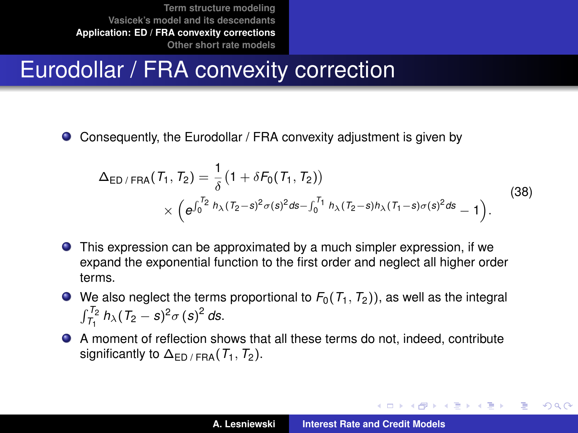# Eurodollar / FRA convexity correction

Consequently, the Eurodollar / FRA convexity adjustment is given by  $\bullet$ 

$$
\Delta_{ED/FRA}(T_1, T_2) = \frac{1}{\delta} (1 + \delta F_0(T_1, T_2))
$$
  
\$\times \left( e^{\int\_0^{T\_2} h\_\lambda (T\_2 - s)^2 \sigma(s)^2 ds - \int\_0^{T\_1} h\_\lambda (T\_2 - s) h\_\lambda (T\_1 - s) \sigma(s)^2 ds} - 1 \right).\$ (38)

- This expression can be approximated by a much simpler expression, if we expand the exponential function to the first order and neglect all higher order terms.
- $\bullet$  We also neglect the terms proportional to  $F_0(T_1, T_2)$ , as well as the integral  $\int_{T_1}^{T_2} h_\lambda (T_2 - s)^2 \sigma (s)^2 ds$ .
- A moment of reflection shows that all these terms do not, indeed, contribute significantly to  $\Delta_{\text{FD}/\text{FRA}}(T_1, T_2)$ .

イロメ イ部メ イ君メ イ君メー

÷.  $QQQ$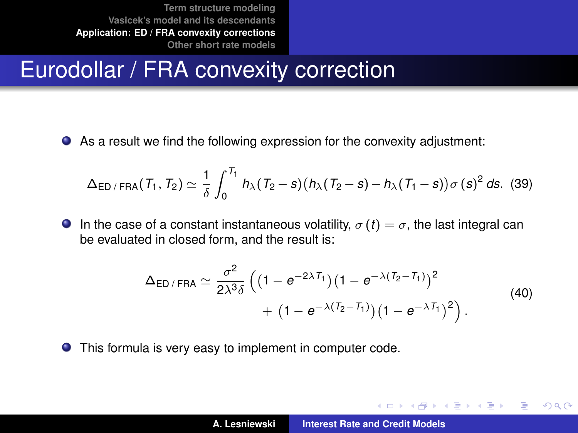# Eurodollar / FRA convexity correction

As a result we find the following expression for the convexity adjustment:

$$
\Delta_{\text{ED/FRA}}(T_1, T_2) \simeq \frac{1}{\delta} \int_0^{T_1} h_\lambda (T_2 - s) \big( h_\lambda (T_2 - s) - h_\lambda (T_1 - s) \big) \sigma(s)^2 \, ds. \tag{39}
$$

**In** the case of a constant instantaneous volatility,  $\sigma(t) = \sigma$ , the last integral can be evaluated in closed form, and the result is:

$$
\Delta_{ED/FRA} \simeq \frac{\sigma^2}{2\lambda^3 \delta} \left( \left(1 - e^{-2\lambda T_1}\right) \left(1 - e^{-\lambda (T_2 - T_1)}\right)^2 + \left(1 - e^{-\lambda (T_2 - T_1)}\right) \left(1 - e^{-\lambda T_1}\right)^2 \right).
$$
\n(40)

This formula is very easy to implement in computer code.

 $\left\{ \begin{array}{ccc} 1 & 0 & 0 \\ 0 & 1 & 0 \end{array} \right.$ 

Þ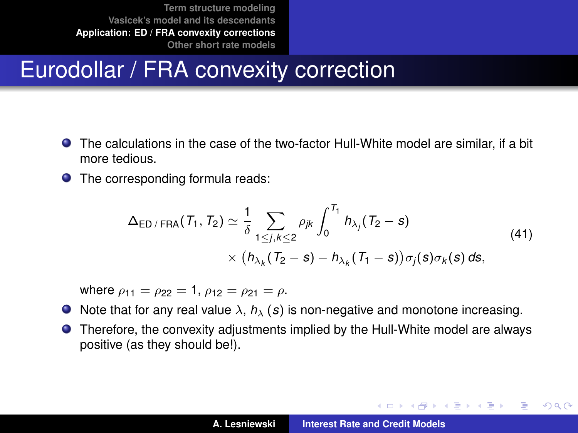# Eurodollar / FRA convexity correction

- The calculations in the case of the two-factor Hull-White model are similar, if a bit more tedious.
- The corresponding formula reads:

$$
\Delta_{\text{ED/FRA}}(T_1, T_2) \simeq \frac{1}{\delta} \sum_{1 \leq j,k \leq 2} \rho_{jk} \int_0^{T_1} h_{\lambda_j}(T_2 - s)
$$
\n
$$
\times (h_{\lambda_k}(T_2 - s) - h_{\lambda_k}(T_1 - s)) \sigma_j(s) \sigma_k(s) ds,
$$
\n(41)

where  $\rho_{11} = \rho_{22} = 1$ ,  $\rho_{12} = \rho_{21} = \rho$ .

- $\bullet$  Note that for any real value  $\lambda$ ,  $h_{\lambda}$  (s) is non-negative and monotone increasing.
- Therefore, the convexity adjustments implied by the Hull-White model are always  $\bullet$ positive (as they should be!).

K ロ ⊁ K 伊 ⊁ K 君 ⊁ K 君 ⊁ …

÷.  $QQQ$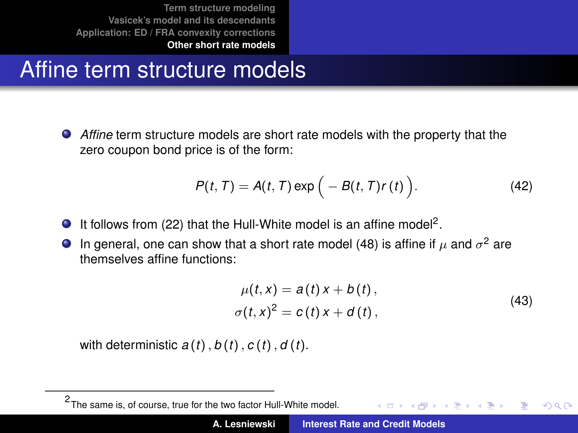# Affine term structure models

*Affine* term structure models are short rate models with the property that the zero coupon bond price is of the form:

$$
P(t, T) = A(t, T) \exp \Big(-B(t, T)r(t)\Big). \tag{42}
$$

- It follows from [\(22\)](#page-20-0) that the Hull-White model is an affine model<sup>2</sup>.
- In general, one can show that a short rate model [\(48\)](#page-5-0) is affine if  $\mu$  and  $\sigma^2$  are themselves affine functions:

<span id="page-38-0"></span>
$$
\mu(t, x) = a(t) x + b(t), \n\sigma(t, x)^{2} = c(t) x + d(t),
$$
\n(43)

with deterministic  $a(t)$ ,  $b(t)$ ,  $c(t)$ ,  $d(t)$ .

<sup>2</sup> The same is, of course, true for the two factor Hull-White model. イロト イ押 トイラ トイラト Þ  $QQQ$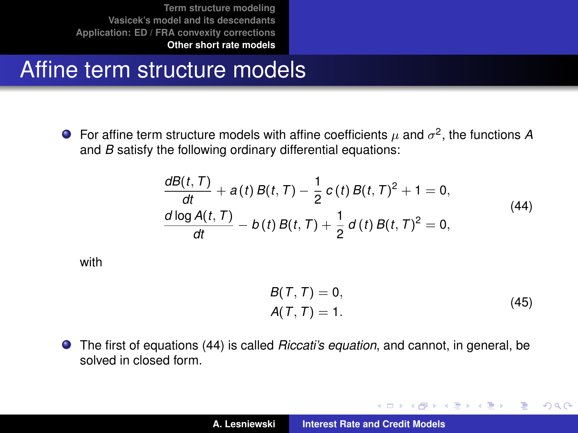# Affine term structure models

For affine term structure models with affine coefficients  $\mu$  and  $\sigma^2$ , the functions A and *B* satisfy the following ordinary differential equations:

$$
\frac{dB(t, T)}{dt} + a(t) B(t, T) - \frac{1}{2} c(t) B(t, T)^{2} + 1 = 0,\n\frac{d \log A(t, T)}{dt} - b(t) B(t, T) + \frac{1}{2} d(t) B(t, T)^{2} = 0,
$$
\n(44)

<span id="page-39-0"></span>with

$$
B(T, T) = 0,
$$
  
 
$$
A(T, T) = 1.
$$
 (45)

イロメ イ部メ イヨメ イヨメー

 $299$ 

重

The first of equations [\(44\)](#page-39-0) is called *Riccati's equation*, and cannot, in general, be solved in closed form.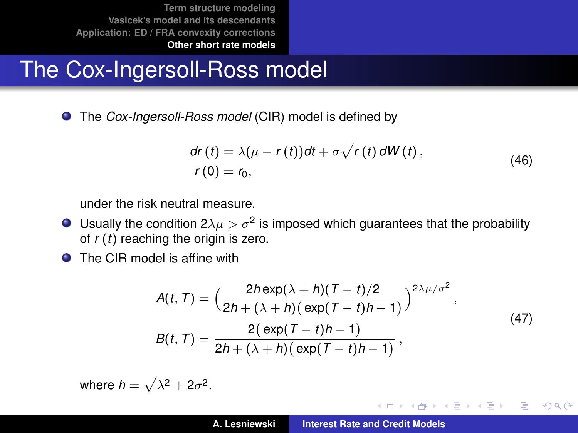# The Cox-Ingersoll-Ross model

The *Cox-Ingersoll-Ross model* (CIR) model is defined by

$$
dr(t) = \lambda(\mu - r(t))dt + \sigma \sqrt{r(t)} dW(t),
$$
  
\n
$$
r(0) = r_0,
$$
\n(46)

under the risk neutral measure.

- Usually the condition  $2\lambda\mu > \sigma^2$  is imposed which guarantees that the probability of *r* (*t*) reaching the origin is zero.
- **O** The CIR model is affine with

$$
A(t, T) = \left(\frac{2h \exp(\lambda + h)(T - t)/2}{2h + (\lambda + h)(\exp(T - t)h - 1)}\right)^{2\lambda\mu/\sigma^2},
$$
  
\n
$$
B(t, T) = \frac{2(\exp(T - t)h - 1)}{2h + (\lambda + h)(\exp(T - t)h - 1)},
$$
\n(47)

イロメ イ部メ イヨメ イヨメー

 $299$ 

Þ

where  $h = \sqrt{\lambda^2 + 2\sigma^2}$ .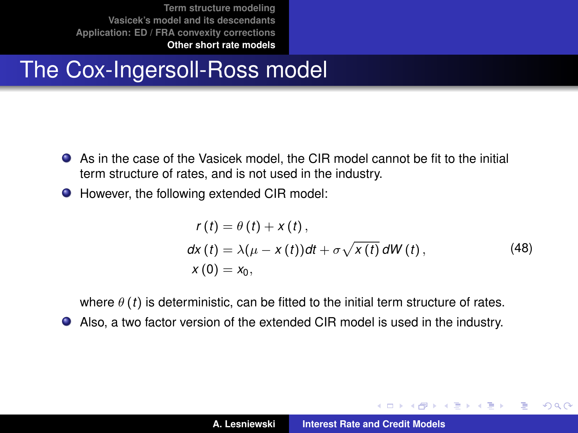# The Cox-Ingersoll-Ross model

- As in the case of the Vasicek model, the CIR model cannot be fit to the initial term structure of rates, and is not used in the industry.
- However, the following extended CIR model:

$$
r(t) = \theta(t) + x(t),
$$
  
\n
$$
dx(t) = \lambda(\mu - x(t))dt + \sigma \sqrt{x(t)} dW(t),
$$
  
\n
$$
x(0) = x_0,
$$
\n(48)

イロメ イ部メ イヨメ イヨメー

Þ  $2Q$ 

where  $\theta(t)$  is deterministic, can be fitted to the initial term structure of rates.

Also, a two factor version of the extended CIR model is used in the industry.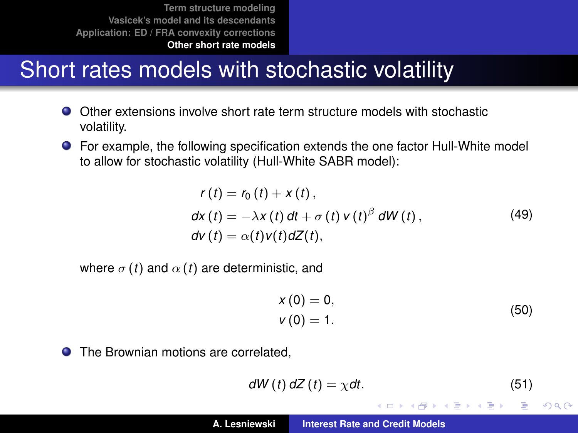# Short rates models with stochastic volatility

- Other extensions involve short rate term structure models with stochastic volatility.
- For example, the following specification extends the one factor Hull-White model to allow for stochastic volatility (Hull-White SABR model):

$$
r(t) = r_0(t) + x(t),
$$
  
\n
$$
dx(t) = -\lambda x(t) dt + \sigma(t) v(t)^{\beta} dW(t),
$$
  
\n
$$
dv(t) = \alpha(t) v(t) dZ(t),
$$
\n(49)

where  $\sigma(t)$  and  $\alpha(t)$  are deterministic, and

$$
x(0) = 0,\nv(0) = 1.
$$
\n(50)

**• The Brownian motions are correlated.** 

$$
dW(t) dZ(t) = \chi dt. \tag{51}
$$

イロメ イ部メ イ君メ イ君メー

重